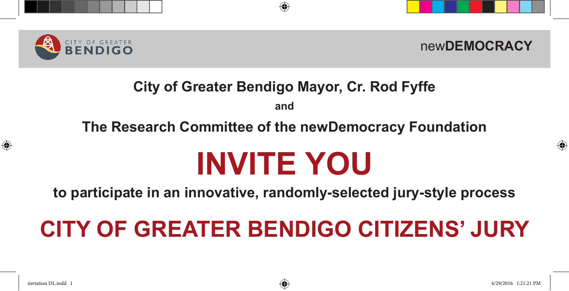



## **City of Greater Bendigo Mayor, Cr. Rod Fyffe**

**and**

### **The Research Committee of the newDemocracy Foundation**

# **INVITE YOU**

**to participate in an innovative, randomly-selected jury-style process**

# **CITY OF GREATER BENDIGO CITIZENS' JURY**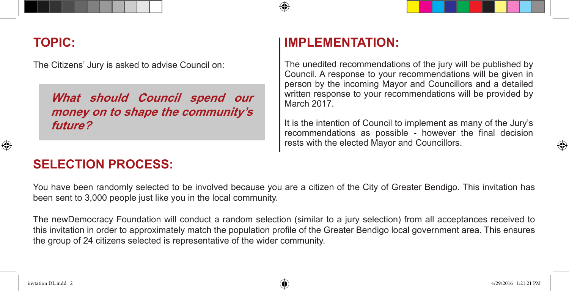#### **TOPIC:**

The Citizens' Jury is asked to advise Council on:

**What should Council spend our money on to shape the community's future?**

#### **IMPLEMENTATION:**

The unedited recommendations of the jury will be published by Council. A response to your recommendations will be given in person by the incoming Mayor and Councillors and a detailed written response to your recommendations will be provided by March 2017.

It is the intention of Council to implement as many of the Jury's recommendations as possible - however the final decision rests with the elected Mayor and Councillors.

#### **SELECTION PROCESS:**

You have been randomly selected to be involved because you are a citizen of the City of Greater Bendigo. This invitation has been sent to 3,000 people just like you in the local community.

The newDemocracy Foundation will conduct a random selection (similar to a jury selection) from all acceptances received to this invitation in order to approximately match the population profile of the Greater Bendigo local government area. This ensures the group of 24 citizens selected is representative of the wider community.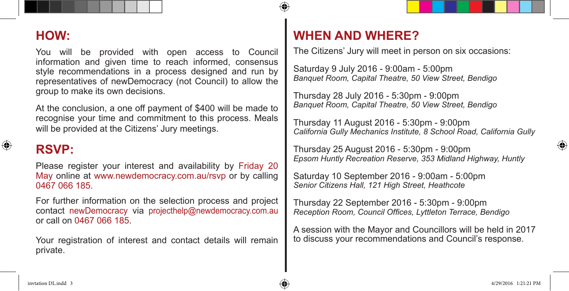#### **HOW:**

You will be provided with open access to Council information and given time to reach informed, consensus style recommendations in a process designed and run by representatives of newDemocracy (not Council) to allow the group to make its own decisions.

At the conclusion, a one off payment of \$400 will be made to recognise your time and commitment to this process. Meals will be provided at the Citizens' Jury meetings.

#### **RSVP:**

Please register your interest and availability by Friday 20 May online at www.newdemocracy.com.au/rsyp or by calling 0467 066 185.

For further information on the selection process and project contact newDemocracy via projecthelp@newdemocracy.com.au or call on 0467 066 185.

Your registration of interest and contact details will remain private.

#### **WHEN AND WHERE?**

The Citizens' Jury will meet in person on six occasions:

Saturday 9 July 2016 - 9:00am - 5:00pm *Banquet Room, Capital Theatre, 50 View Street, Bendigo*

Thursday 28 July 2016 - 5:30pm - 9:00pm *Banquet Room, Capital Theatre, 50 View Street, Bendigo*

Thursday 11 August 2016 - 5:30pm - 9:00pm *California Gully Mechanics Institute, 8 School Road, California Gully*

Thursday 25 August 2016 - 5:30pm - 9:00pm *Epsom Huntly Recreation Reserve, 353 Midland Highway, Huntly*

Saturday 10 September 2016 - 9:00am - 5:00pm *Senior Citizens Hall, 121 High Street, Heathcote*

Thursday 22 September 2016 - 5:30pm - 9:00pm *Reception Room, Council Offices, Lyttleton Terrace, Bendigo*

A session with the Mayor and Councillors will be held in 2017 to discuss your recommendations and Council's response.